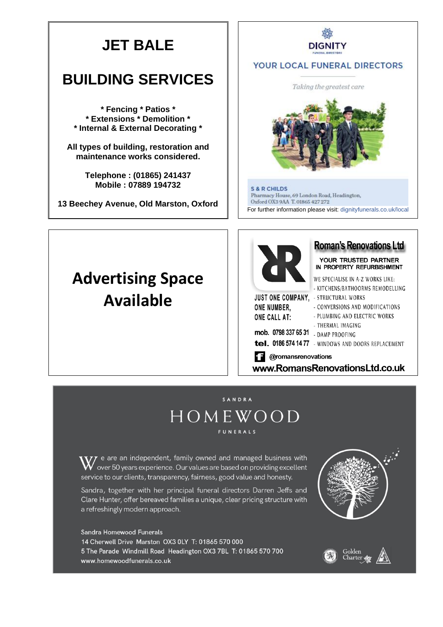# **JET BALE**

# **BUILDING SERVICES**

**\* Fencing \* Patios \* \* Extensions \* Demolition \* \* Internal & External Decorating \***

**All types of building, restoration and maintenance works considered.**

> **Telephone : (01865) 241437 Mobile : 07889 194732**

**13 Beechey Avenue, Old Marston, Oxford**

# **DIGNITY**

#### YOUR LOCAL FUNERAL DIRECTORS





**S & R CHILDS** Pharmacy House, 69 London Road, Headington, Oxford OX3 9AA T.01865 427 272 For further information please visit: dignityfunerals.co.uk/local

# **Advertising Space Available**



### **Roman's Renovations Ltd**

YOUR TRUSTED PARTNER IN PROPERTY REFURBISHMENT

WE SPECIALISE IN A-Z WORKS LIKE: - KITCHENS/BATHOORMS REMODELLING

**JUST ONE COMPANY.** - STRUCTURAL WORKS ONE NUMBER.

ONE CALL AT:

| . |                   |
|---|-------------------|
|   | - CONVERSIONS AND |

- PLUMBING AND ELECTRIC WORKS

**MODIFICATIONS** 

- THERMAL IMAGING

# **mob. 0798 337 65 31** - DAMP PROOFING

tel. 0186 574 1477 - WINDOWS AND DOORS REPLACEMENT

**1** @romansrenovations

www.RomansRenovationsLtd.co.uk

# SANDRA HOMEWOOD **FUNERALS**

 $\mathbf{W}$  e are an independent, family owned and managed business with<br> $\mathbf{W}$  over 50 years experience. Our values are based on providing excellent service to our clients, transparency, fairness, good value and honesty.

Sandra, together with her principal funeral directors Darren Jeffs and Clare Hunter, offer bereaved families a unique, clear pricing structure with a refreshingly modern approach.

Sandra Homewood Funerals 14 Cherwell Drive Marston OX3 0LY T: 01865 570 000 5 The Parade Windmill Road Headington OX3 7BL T: 01865 570 700 www.homewoodfunerals.co.uk



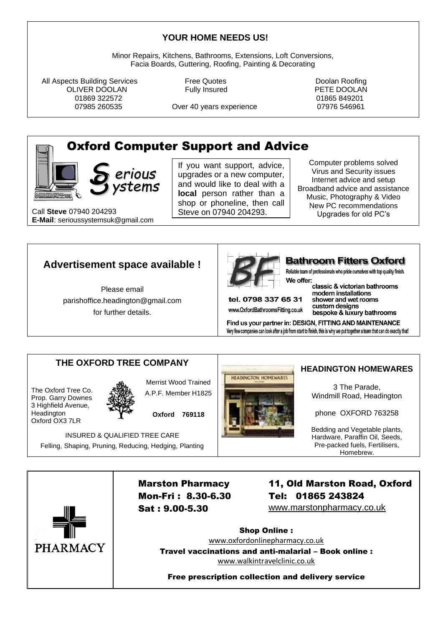#### **YOUR HOME NEEDS US!**

Minor Repairs, Kitchens, Bathrooms, Extensions, Loft Conversions, Facia Boards, Guttering, Roofing, Painting & Decorating

All Aspects Building Services **Free Quotes** Free Cuotes **Free Outer** Poolan Roofing OLIVER DOOLAN Fully Insured PETE DOOLAN 01869 322572 01865 849201

07985 260535 Over 40 years experience 07976 546961

# Oxford Computer Support and Advice

**S** yste *erious ystems*

Call **Steve** 07940 204293 **1986** Steve on 07940 204293. **E-Mail**: serioussystemsuk@gmail.com

If you want support, advice, upgrades or a new computer, and would like to deal with a **local** person rather than a shop or phoneline, then call Steve on 07940 204293.

Computer problems solved Virus and Security issues Internet advice and setup Broadband advice and assistance Music, Photography & Video New PC recommendations Upgrades for old PC's

## **Advertisement space available !**

Please email [parishoffice.headington@gmail.com](mailto:parishoffice.headington@gmail.com) for further details.



#### **Bathroom Fitters Oxford**

Reliable team of professionals who pride ourselves with top quality finish. We offer:

tel. 0798 337 65 31 www.OxfordBathroomsFitting.co.uk classic & victorian bathrooms modern installations shower and wet rooms custom designs bespoke & luxury bathrooms

Find us your partner in: DESIGN, FITTING AND MAINTENANCE Very few companies can look after a job from start to finish, this is why we put together a team that can do exactly that!

# THE OXFORD TREE COMPANY **HEADINGTON HOMEWARES**

The Oxford Tree Co. Prop. Garry Downes 3 Highfield Avenue, **Headington** Oxford OX3 7LR



Merrist Wood Trained A.P.F. Member H1825

**Oxford 769118**

INSURED & QUALIFIED TREE CARE Felling, Shaping, Pruning, Reducing, Hedging, Planting



3 The Parade, Windmill Road, Headington

phone OXFORD 763258

Bedding and Vegetable plants, Hardware, Paraffin Oil, Seeds, Pre-packed fuels, Fertilisers, Homebrew.



Marston Pharmacy Mon-Fri : 8.30-6.30 Sat : 9.00-5.30

11, Old Marston Road, Oxford Tel: 01865 243824

www.marstonpharmacy.co.uk

Shop Online : [www.oxfordonlinepharmacy.co.uk](http://www.oxfordonlinepharmacy.co.uk/) Travel vaccinations and anti-malarial – Book online : [www.walkintravelclinic.co.uk](http://www.walkintravelclinic.co.uk/)

Free prescription collection and delivery service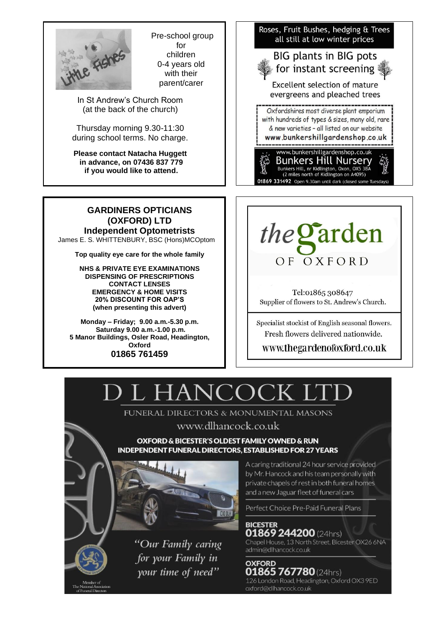

Pre-school group for children 0-4 years old with their parent/carer

In St Andrew's Church Room (at the back of the church)

Thursday morning 9.30-11:30 during school terms. No charge.

**Please contact Natacha Huggett in advance, on 07436 837 779 if you would like to attend.** 

**GARDINERS OPTICIANS (OXFORD) LTD Independent Optometrists** James E. S. WHITTENBURY, BSC (Hons)MCOptom

**Top quality eye care for the whole family**

**NHS & PRIVATE EYE EXAMINATIONS DISPENSING OF PRESCRIPTIONS CONTACT LENSES EMERGENCY & HOME VISITS 20% DISCOUNT FOR OAP'S (when presenting this advert)**

**Monday – Friday; 9.00 a.m.-5.30 p.m. Saturday 9.00 a.m.-1.00 p.m. 5 Manor Buildings, Osler Road, Headington, Oxford 01865 761459**





Tel:01865 308647 Supplier of flowers to St. Andrew's Church.

Specialist stockist of English seasonal flowers. Fresh flowers delivered nationwide.

#### www.thegardenofoxford.co.uk

# HANCOC

FUNERAL DIRECTORS & MONUMENTAL MASONS

## www.dlhancock.co.uk

OXFORD & BICESTER'S OLDEST FAMILY OWNED & RUN **INDEPENDENT FUNERAL DIRECTORS, ESTABLISHED FOR 27 YEARS** 





"Our Family caring for your Family in your time of need"

A caring traditional 24 hour service provided by Mr. Hancock and his team personally with private chapels of rest in both funeral homes and a new Jaguar fleet of funeral cars

Perfect Choice Pre-Paid Funeral Plans

**BICESTER 01869 244200** (24hrs) Chapel House, 13 North Street, Bicester OX26 6NA admin@dlhancock.co.uk

**OXFORD** 01865 767780 (24hrs) 126 London Road, Headington, Oxford OX3 9ED oxford@dlhancock.co.uk